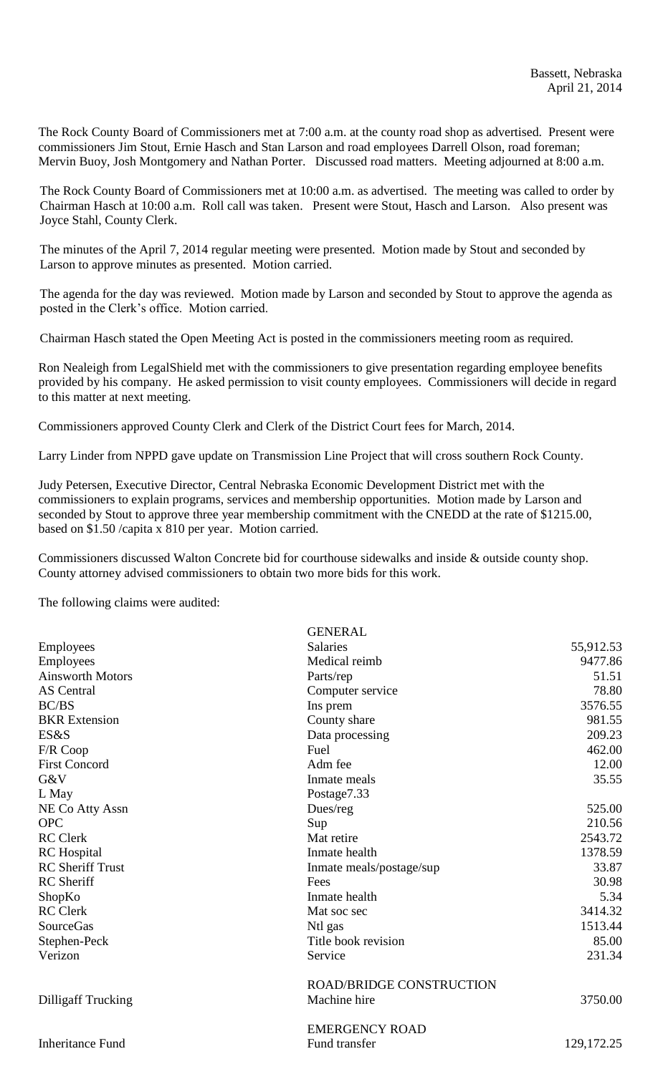The Rock County Board of Commissioners met at 7:00 a.m. at the county road shop as advertised. Present were commissioners Jim Stout, Ernie Hasch and Stan Larson and road employees Darrell Olson, road foreman; Mervin Buoy, Josh Montgomery and Nathan Porter. Discussed road matters. Meeting adjourned at 8:00 a.m.

The Rock County Board of Commissioners met at 10:00 a.m. as advertised. The meeting was called to order by Chairman Hasch at 10:00 a.m. Roll call was taken. Present were Stout, Hasch and Larson. Also present was Joyce Stahl, County Clerk.

The minutes of the April 7, 2014 regular meeting were presented. Motion made by Stout and seconded by Larson to approve minutes as presented. Motion carried.

The agenda for the day was reviewed. Motion made by Larson and seconded by Stout to approve the agenda as posted in the Clerk's office. Motion carried.

Chairman Hasch stated the Open Meeting Act is posted in the commissioners meeting room as required.

Ron Nealeigh from LegalShield met with the commissioners to give presentation regarding employee benefits provided by his company. He asked permission to visit county employees. Commissioners will decide in regard to this matter at next meeting.

Commissioners approved County Clerk and Clerk of the District Court fees for March, 2014.

Larry Linder from NPPD gave update on Transmission Line Project that will cross southern Rock County.

Judy Petersen, Executive Director, Central Nebraska Economic Development District met with the commissioners to explain programs, services and membership opportunities. Motion made by Larson and seconded by Stout to approve three year membership commitment with the CNEDD at the rate of \$1215.00, based on \$1.50 /capita x 810 per year. Motion carried.

Commissioners discussed Walton Concrete bid for courthouse sidewalks and inside & outside county shop. County attorney advised commissioners to obtain two more bids for this work.

The following claims were audited:

|                           | <b>GENERAL</b>                  |              |
|---------------------------|---------------------------------|--------------|
| Employees                 | <b>Salaries</b>                 | 55,912.53    |
| Employees                 | Medical reimb                   | 9477.86      |
| <b>Ainsworth Motors</b>   | Parts/rep                       | 51.51        |
| <b>AS</b> Central         | Computer service                | 78.80        |
| BC/BS                     | Ins prem                        | 3576.55      |
| <b>BKR</b> Extension      | County share                    | 981.55       |
| ES&S                      | Data processing                 | 209.23       |
| F/R Coop                  | Fuel                            | 462.00       |
| <b>First Concord</b>      | Adm fee                         | 12.00        |
| G&V                       | Inmate meals                    | 35.55        |
| L May                     | Postage7.33                     |              |
| NE Co Atty Assn           | Dues/reg                        | 525.00       |
| <b>OPC</b>                | Sup                             | 210.56       |
| <b>RC</b> Clerk           | Mat retire                      | 2543.72      |
| <b>RC</b> Hospital        | Inmate health                   | 1378.59      |
| <b>RC</b> Sheriff Trust   | Inmate meals/postage/sup        | 33.87        |
| <b>RC</b> Sheriff         | Fees                            | 30.98        |
| ShopKo                    | Inmate health                   | 5.34         |
| <b>RC</b> Clerk           | Mat soc sec                     | 3414.32      |
| <b>SourceGas</b>          | Ntl gas                         | 1513.44      |
| Stephen-Peck              | Title book revision             | 85.00        |
| Verizon                   | Service                         | 231.34       |
|                           | <b>ROAD/BRIDGE CONSTRUCTION</b> |              |
| <b>Dilligaff Trucking</b> | Machine hire                    | 3750.00      |
|                           | <b>EMERGENCY ROAD</b>           |              |
| <b>Inheritance Fund</b>   | Fund transfer                   | 129, 172. 25 |
|                           |                                 |              |